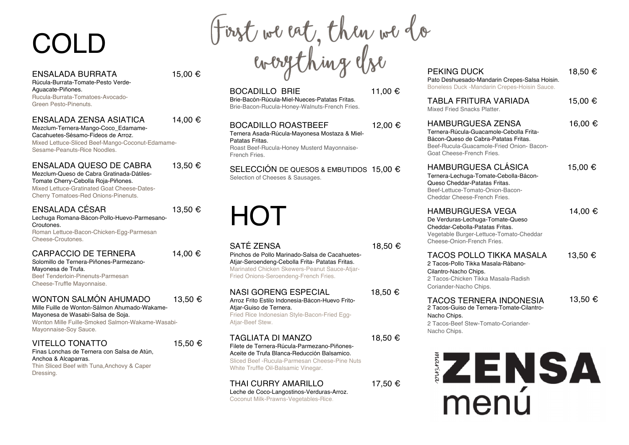# COLD

ENSALADA BURRATA  $15.00 \in$ 

Rúcula-Burrata-Tomate-Pesto Verde-Aguacate-Piñones. Rucula-Burrata-Tomatoes-Avocado-Green Pesto-Pinenuts.

ENSALADA ZENSA ASIATICA 14,00 € Mezclum-Ternera-Mango-Coco\_Edamame-

Cacahuetes-Sésamo-Fideos de Arroz. Mixed Lettuce-Sliced Beef-Mango-Coconut-Edamame-Sesame-Peanuts-Rice Noodles.

ENSALADA QUESO DE CABRA 13,50 € Mezclum-Queso de Cabra Gratinada-Dátiles-Tomate Cherry-Cebolla Roja-Piñones. Mixed Lettuce-Gratinated Goat Cheese-Dates-

Cherry Tomatoes-Red Onions-Pinenuts.

#### ENSALADA CÉSAR 13,50 €

Lechuga Romana-Bácon-Pollo-Huevo-Parmesano-Croutones. Roman Lettuce-Bacon-Chicken-Egg-Parmesan Cheese-Croutones.

#### CARPACCIO DE TERNERA  $14.00 \in$

Solomillo de Ternera-Piñones-Parmezano-Mayonesa de Trufa. Beef Tenderloin-Pinenuts-Parmesan Cheese-Truffle Mayonnaise.

#### WONTON SALMÓN AHUMADO  $13.50 \in$

Mille Fuille de Wonton-Sálmon Ahumado-Wakame-Mayonesa de Wasabi-Salsa de Soja. Wonton Mille Fuille-Smoked Salmon-Wakame-Wasabi-Mayonnaise-Soy Sauce.

#### VITELLO TONATTO 15.50  $\epsilon$

Finas Lonchas de Ternera con Salsa de Atún, Anchoa & Alcaparras. Thin Sliced Beef with Tuna,Anchovy & Caper Dressing.

First we eat, then we do<br>everything else PEKING DUCK 18,50€

BOCADILLO BRIE 11,00 € Brie-Bacón-Rúcula-Miel-Nueces-Patatas Fritas. Brie-Bacon-Rucula-Honey-Walnuts-French Fries.

#### BOCADILLO ROASTBEEF 12,00 €

Ternera Asada-Rúcula-Mayonesa Mostaza & Miel-Patatas Fritas. Roast Beef-Rucula-Honey Musterd Mayonnaise-French Fries.

SELECCIÓN DE QUESOS & EMBUTIDOS 15,00 € Selection of Cheeses & Sausages.

# HOT

#### SATÉ ZENSA 18,50 €

Pinchos de Pollo Marinado-Salsa de Cacahuetes-Atjar-Seroendeng-Cebolla Frita- Patatas Fritas. Marinated Chicken Skewers-Peanut Sauce-Atjar-Fried Onions-Seroendeng-French Fries.

NASI GORENG ESPECIAL 18,50 €

Arroz Frito Estilo Indonesia-Bácon-Huevo Frito-Atiar-Guiso de Ternera. Fried Rice Indonesian Style-Bacon-Fried Egg-Atiar-Beef Stew.

#### TAGLIATA DI MANZO 18.50 €

Filete de Ternera-Rúcula-Parmezano-Piñones-Aceite de Trufa Blanca-Reducción Balsamico. Sliced Beef -Rucula-Parmesan Cheese-Pine Nuts White Truffle Oil-Balsamic Vinegar.

#### THAI CURRY AMARILLO 17.50 €

Leche de Coco-Langostinos-Verduras-Arroz. Coconut Milk-Prawns-Vegetables-Rice.

Pato Deshuesado-Mandarin Crepes-Salsa Hoisin. Boneless Duck -Mandarin Crepes-Hoisin Sauce.

| TABLA FRITURA VARIADA       | 15,00 € |
|-----------------------------|---------|
| Mixed Fried Snacks Platter. |         |

HAMBURGUESA ZENSA 16,00 € Ternera-Rúcula-Guacamole-Cebolla Frita-Bácon-Queso de Cabra-Patatas Fritas. Beef-Rucula-Guacamole-Fried Onion- Bacon-Goat Cheese-French Fries.

HAMBURGUESA CLÁSICA 15,00 € Ternera-Lechuga-Tomate-Cebolla-Bácon-Queso Cheddar-Patatas Fritas. Beef-Lettuce-Tomato-Onion-Bacon-Cheddar Cheese-French Fries.

HAMBURGUESA VEGA 14,00 € De Verduras-Lechuga-Tomate-Queso Cheddar-Cebolla-Patatas Fritas. Vegetable Burger-Lettuce-Tomato-Cheddar Cheese-Onion-French Fries.

### TACOS POLLO TIKKA MASALA 13,50 € 2 Tacos-Pollo Tikka Masala-Rábano-

Cilantro-Nacho Chips. 2 Tacos-Chicken Tikka Masala-Radish Coriander-Nacho Chips.

#### TACOS TERNERA INDONESIA 13,50 €

2 Tacos-Guiso de Ternera-Tomate-Cilantro-Nacho Chips.

2 Tacos-Beef Stew-Tomato-Coriander-Nacho Chips.